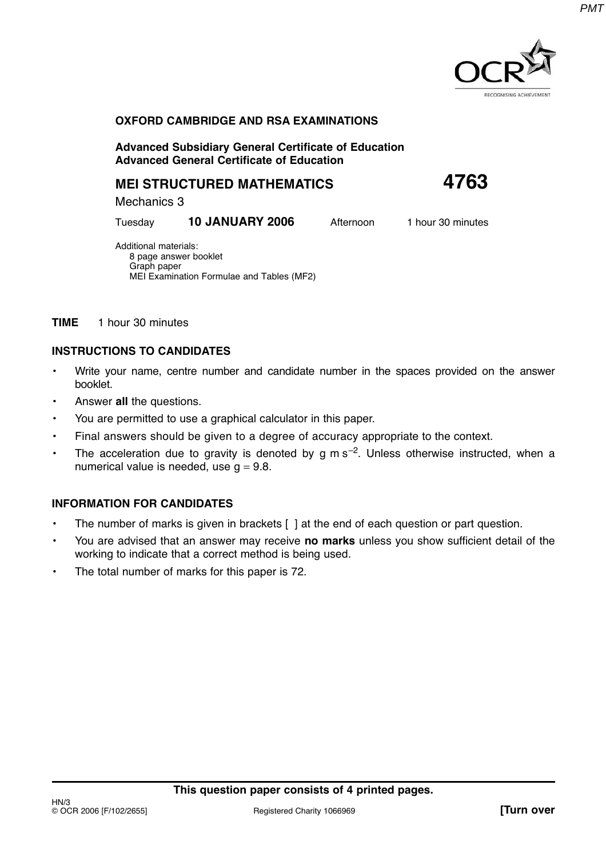

## **OXFORD CAMBRIDGE AND RSA EXAMINATIONS**

**Advanced Subsidiary General Certificate of Education Advanced General Certificate of Education**

## **MEI STRUCTURED MATHEMATICS 4763**

Mechanics 3

Tuesday **10 JANUARY 2006** Afternoon 1 hour 30 minutes

Additional materials: 8 page answer booklet Graph paper MEI Examination Formulae and Tables (MF2)

**TIME** 1 hour 30 minutes

## **INSTRUCTIONS TO CANDIDATES**

- Write your name, centre number and candidate number in the spaces provided on the answer booklet.
- Answer **all** the questions.
- You are permitted to use a graphical calculator in this paper.
- Final answers should be given to a degree of accuracy appropriate to the context.
- The acceleration due to gravity is denoted by g m  $s^{-2}$ . Unless otherwise instructed, when a numerical value is needed, use  $q = 9.8$ .

## **INFORMATION FOR CANDIDATES**

- The number of marks is given in brackets [ ] at the end of each question or part question.
- You are advised that an answer may receive **no marks** unless you show sufficient detail of the working to indicate that a correct method is being used.
- The total number of marks for this paper is 72.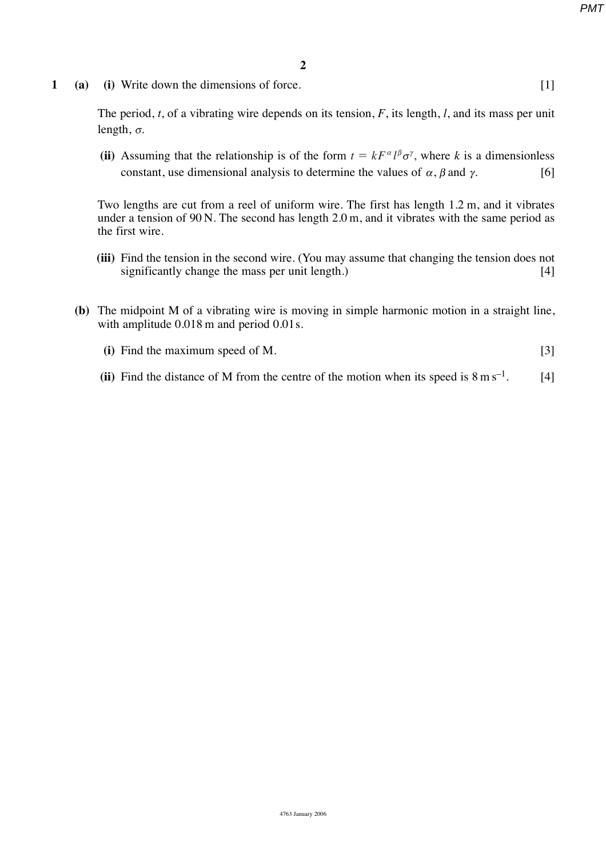*PMT*

**1 (a) (i)** Write down the dimensions of force. [1]

The period, *t*, of a vibrating wire depends on its tension, *F*, its length, *l*, and its mass per unit length,  $\sigma$ .

(ii) Assuming that the relationship is of the form  $t = kF^{\alpha}l^{\beta}\sigma^{\gamma}$ , where *k* is a dimensionless constant, use dimensional analysis to determine the values of  $\alpha$ ,  $\beta$  and  $\gamma$ . [6]

Two lengths are cut from a reel of uniform wire. The first has length 1.2 m, and it vibrates under a tension of 90 N. The second has length 2.0 m, and it vibrates with the same period as the first wire.

- **(iii)** Find the tension in the second wire. (You may assume that changing the tension does not significantly change the mass per unit length.) [4]
- **(b)** The midpoint M of a vibrating wire is moving in simple harmonic motion in a straight line, with amplitude  $0.018$  m and period  $0.01$  s.
	- **(i)** Find the maximum speed of M. [3]
	- (ii) Find the distance of M from the centre of the motion when its speed is  $8 \text{ m s}^{-1}$ . [4]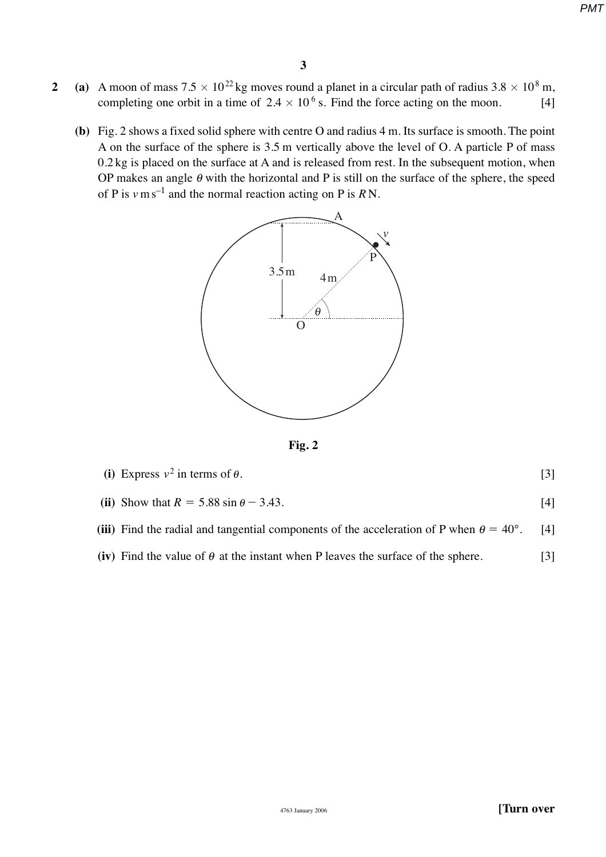*PMT*

- **2** (a) A moon of mass  $7.5 \times 10^{22}$  kg moves round a planet in a circular path of radius  $3.8 \times 10^8$  m, completing one orbit in a time of  $2.4 \times 10^6$  s. Find the force acting on the moon. [4]
	- **(b)** Fig. 2 shows a fixed solid sphere with centre O and radius 4 m. Its surface is smooth. The point A on the surface of the sphere is 3.5 m vertically above the level of O. A particle P of mass 0.2 kg is placed on the surface at A and is released from rest. In the subsequent motion, when OP makes an angle  $\theta$  with the horizontal and P is still on the surface of the sphere, the speed of P is  $v \text{ m s}^{-1}$  and the normal reaction acting on P is RN.



**Fig. 2**

| (i) Express $v^2$ in terms of $\theta$ .                                                              |                   |
|-------------------------------------------------------------------------------------------------------|-------------------|
| (ii) Show that $R = 5.88 \sin \theta - 3.43$ .                                                        |                   |
| (iii) Find the radial and tangential components of the acceleration of P when $\theta = 40^{\circ}$ . | $\lceil 4 \rceil$ |

- 
- **(iv)** Find the value of  $\theta$  at the instant when P leaves the surface of the sphere. [3]